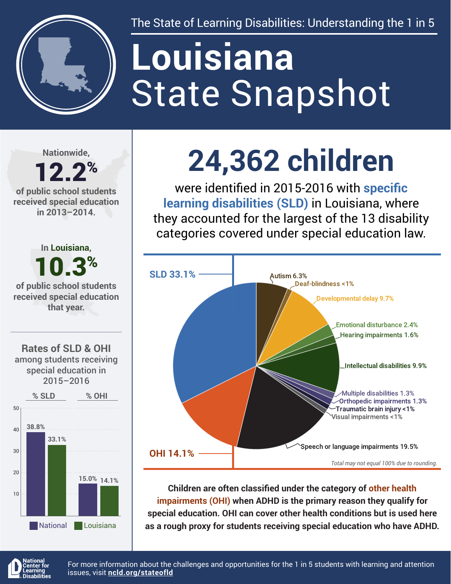

The State of Learning Disabilities: Understanding the 1 in 5

# State Snapshot **Louisiana**

**Nationwide,**

#### 12.2% **of public school students received special education in 2013–2014.**





## **24,362 children**

were identified in 2015-2016 with **specific learning disabilities (SLD)** in Louisiana, where they accounted for the largest of the 13 disability categories covered under special education law.



**Children are often classified under the category of other health impairments (OHI) when ADHD is the primary reason they qualify for special education. OHI can cover other health conditions but is used here as a rough proxy for students receiving special education who have ADHD.**



For more information about the challenges and opportunities for the 1 in 5 students with learning and attention issues, visit **[ncld.org/stateofld](http://ncld.org/stateofld)**